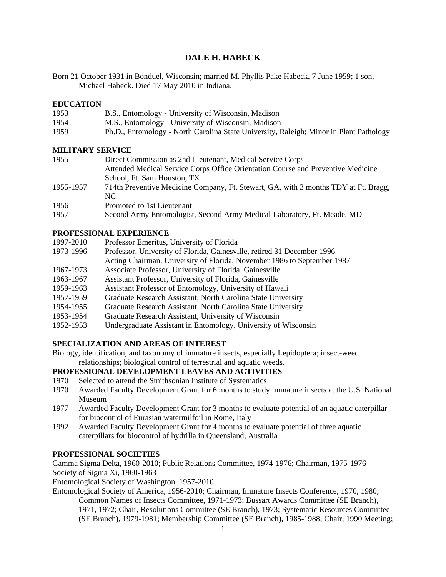# **DALE H. HABECK**

Born 21 October 1931 in Bonduel, Wisconsin; married M. Phyllis Pake Habeck, 7 June 1959; 1 son, Michael Habeck. Died 17 May 2010 in Indiana.

### **EDUCATION**

| 1953 | B.S., Entomology - University of Wisconsin, Madison                                    |
|------|----------------------------------------------------------------------------------------|
| 1954 | M.S., Entomology - University of Wisconsin, Madison                                    |
| 1959 | Ph.D., Entomology - North Carolina State University, Raleigh; Minor in Plant Pathology |

### **MILITARY SERVICE**

| 1955      | Direct Commission as 2nd Lieutenant, Medical Service Corps                          |
|-----------|-------------------------------------------------------------------------------------|
|           | Attended Medical Service Corps Office Orientation Course and Preventive Medicine    |
|           | School, Ft. Sam Houston, TX                                                         |
| 1955-1957 | 714th Preventive Medicine Company, Ft. Stewart, GA, with 3 months TDY at Ft. Bragg, |
|           | NC.                                                                                 |
| 1956      | Promoted to 1st Lieutenant                                                          |
| 1957      | Second Army Entomologist, Second Army Medical Laboratory, Ft. Meade, MD             |

### **PROFESSIONAL EXPERIENCE**

| 1997-2010 | Professor Emeritus, University of Florida                               |
|-----------|-------------------------------------------------------------------------|
| 1973-1996 | Professor, University of Florida, Gainesville, retired 31 December 1996 |

- Acting Chairman, University of Florida, November 1986 to September 1987
- 
- 1967-1973 Associate Professor, University of Florida, Gainesville
- 1963-1967 Assistant Professor, University of Florida, Gainesville
- 1959-1963 Assistant Professor of Entomology, University of Hawaii
- 1957-1959 Graduate Research Assistant, North Carolina State University
- 1954-1955 Graduate Research Assistant, North Carolina State University
- 1953-1954 Graduate Research Assistant, University of Wisconsin
- 1952-1953 Undergraduate Assistant in Entomology, University of Wisconsin

# **SPECIALIZATION AND AREAS OF INTEREST**

Biology, identification, and taxonomy of immature insects, especially Lepidoptera; insect-weed relationships; biological control of terrestrial and aquatic weeds.

# **PROFESSIONAL DEVELOPMENT LEAVES AND ACTIVITIES**

- 1970 Selected to attend the Smithsonian Institute of Systematics
- 1970 Awarded Faculty Development Grant for 6 months to study immature insects at the U.S. National Museum
- 1977 Awarded Faculty Development Grant for 3 months to evaluate potential of an aquatic caterpillar for biocontrol of Eurasian watermilfoil in Rome, Italy
- 1992 Awarded Faculty Development Grant for 4 months to evaluate potential of three aquatic caterpillars for biocontrol of hydrilla in Queensland, Australia

### **PROFESSIONAL SOCIETIES**

Gamma Sigma Delta, 1960-2010; Public Relations Committee, 1974-1976; Chairman, 1975-1976 Society of Sigma Xi, 1960-1963

Entomological Society of Washington, 1957-2010

Entomological Society of America, 1956-2010; Chairman, Immature Insects Conference, 1970, 1980; Common Names of Insects Committee, 1971-1973; Bussart Awards Committee (SE Branch), 1971, 1972; Chair, Resolutions Committee (SE Branch), 1973; Systematic Resources Committee (SE Branch), 1979-1981; Membership Committee (SE Branch), 1985-1988; Chair, 1990 Meeting;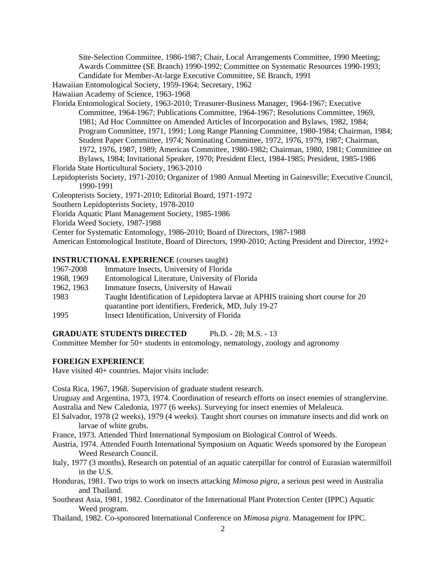Site-Selection Committee, 1986-1987; Chair, Local Arrangements Committee, 1990 Meeting; Awards Committee (SE Branch) 1990-1992; Committee on Systematic Resources 1990-1993; Candidate for Member-At-large Executive Committee, SE Branch, 1991

Hawaiian Entomological Society, 1959-1964; Secretary, 1962

Hawaiian Academy of Science, 1963-1968

Florida Entomological Society, 1963-2010; Treasurer-Business Manager, 1964-1967; Executive Committee, 1964-1967; Publications Committee, 1964-1967; Resolutions Committee, 1969, 1981; Ad Hoc Committee on Amended Articles of Incorporation and Bylaws, 1982, 1984; Program Committee, 1971, 1991; Long Range Planning Committee, 1980-1984; Chairman, 1984; Student Paper Committee, 1974; Nominating Committee, 1972, 1976, 1979, 1987; Chairman, 1972, 1976, 1987, 1989; Americas Committee, 1980-1982; Chairman, 1980, 1981; Committee on Bylaws, 1984; Invitational Speaker, 1970; President Elect, 1984-1985; President, 1985-1986

Florida State Horticultural Society, 1963-2010

Lepidopterists Society, 1971-2010; Organizer of 1980 Annual Meeting in Gainesville; Executive Council, 1990-1991

Coleopterists Society, 1971-2010; Editorial Board, 1971-1972

Southern Lepidopterists Society, 1978-2010

Florida Aquatic Plant Management Society, 1985-1986

Florida Weed Society, 1987-1988

Center for Systematic Entomology, 1986-2010; Board of Directors, 1987-1988

American Entomological Institute, Board of Directors, 1990-2010; Acting President and Director, 1992+

# **INSTRUCTIONAL EXPERIENCE** (courses taught)

- 1967-2008 Immature Insects, University of Florida
- 1968, 1969 Entomological Literature, University of Florida
- 1962, 1963 Immature Insects, University of Hawaii
- 1983 Taught Identification of Lepidoptera larvae at APHIS training short course for 20 quarantine port identifiers, Frederick, MD, July 19-27 1995 Insect Identification, University of Florida

### **GRADUATE STUDENTS DIRECTED** Ph.D. - 28; M.S. - 13

Committee Member for 50+ students in entomology, nematology, zoology and agronomy

## **FOREIGN EXPERIENCE**

Have visited 40+ countries. Major visits include:

Costa Rica, 1967, 1968. Supervision of graduate student research.

Uruguay and Argentina, 1973, 1974. Coordination of research efforts on insect enemies of stranglervine. Australia and New Caledonia, 1977 (6 weeks). Surveying for insect enemies of Melaleuca.

- El Salvador, 1978 (2 weeks), 1979 (4 weeks). Taught short courses on immature insects and did work on larvae of white grubs.
- France, 1973. Attended Third International Symposium on Biological Control of Weeds.
- Austria, 1974. Attended Fourth International Symposium on Aquatic Weeds sponsored by the European Weed Research Council.
- Italy, 1977 (3 months). Research on potential of an aquatic caterpillar for control of Eurasian watermilfoil in the U.S.
- Honduras, 1981. Two trips to work on insects attacking *Mimosa pigra*, a serious pest weed in Australia and Thailand.
- Southeast Asia, 1981, 1982. Coordinator of the International Plant Protection Center (IPPC) Aquatic Weed program.
- Thailand, 1982. Co-sponsored International Conference on *Mimosa pigra*. Management for IPPC.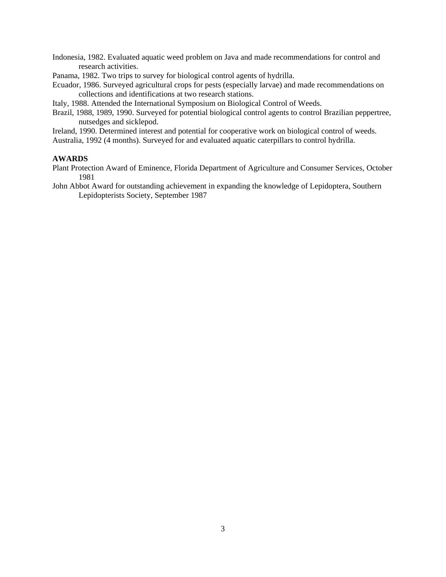Indonesia, 1982. Evaluated aquatic weed problem on Java and made recommendations for control and research activities.

Panama, 1982. Two trips to survey for biological control agents of hydrilla.

Ecuador, 1986. Surveyed agricultural crops for pests (especially larvae) and made recommendations on collections and identifications at two research stations.

Italy, 1988. Attended the International Symposium on Biological Control of Weeds.

Brazil, 1988, 1989, 1990. Surveyed for potential biological control agents to control Brazilian peppertree, nutsedges and sicklepod.

Ireland, 1990. Determined interest and potential for cooperative work on biological control of weeds. Australia, 1992 (4 months). Surveyed for and evaluated aquatic caterpillars to control hydrilla.

#### **AWARDS**

- Plant Protection Award of Eminence, Florida Department of Agriculture and Consumer Services, October 1981
- John Abbot Award for outstanding achievement in expanding the knowledge of Lepidoptera, Southern Lepidopterists Society, September 1987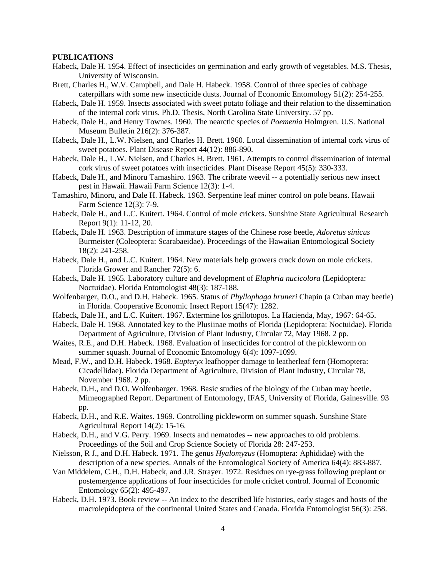#### **PUBLICATIONS**

- Habeck, Dale H. 1954. Effect of insecticides on germination and early growth of vegetables. M.S. Thesis, University of Wisconsin.
- Brett, Charles H., W.V. Campbell, and Dale H. Habeck. 1958. Control of three species of cabbage caterpillars with some new insecticide dusts. Journal of Economic Entomology 51(2): 254-255.
- Habeck, Dale H. 1959. Insects associated with sweet potato foliage and their relation to the dissemination of the internal cork virus. Ph.D. Thesis, North Carolina State University. 57 pp.
- Habeck, Dale H., and Henry Townes. 1960. The nearctic species of *Poemenia* Holmgren. U.S. National Museum Bulletin 216(2): 376-387.
- Habeck, Dale H., L.W. Nielsen, and Charles H. Brett. 1960. Local dissemination of internal cork virus of sweet potatoes. Plant Disease Report 44(12): 886-890.
- Habeck, Dale H., L.W. Nielsen, and Charles H. Brett. 1961. Attempts to control dissemination of internal cork virus of sweet potatoes with insecticides. Plant Disease Report 45(5): 330-333.
- Habeck, Dale H., and Minoru Tamashiro. 1963. The cribrate weevil -- a potentially serious new insect pest in Hawaii. Hawaii Farm Science 12(3): 1-4.
- Tamashiro, Minoru, and Dale H. Habeck. 1963. Serpentine leaf miner control on pole beans. Hawaii Farm Science 12(3): 7-9.
- Habeck, Dale H., and L.C. Kuitert. 1964. Control of mole crickets. Sunshine State Agricultural Research Report 9(1): 11-12, 20.
- Habeck, Dale H. 1963. Description of immature stages of the Chinese rose beetle, *Adoretus sinicus* Burmeister (Coleoptera: Scarabaeidae). Proceedings of the Hawaiian Entomological Society 18(2): 241-258.
- Habeck, Dale H., and L.C. Kuitert. 1964. New materials help growers crack down on mole crickets. Florida Grower and Rancher 72(5): 6.
- Habeck, Dale H. 1965. Laboratory culture and development of *Elaphria nucicolora* (Lepidoptera: Noctuidae). Florida Entomologist 48(3): 187-188.
- Wolfenbarger, D.O., and D.H. Habeck. 1965. Status of *Phyllophaga bruneri* Chapin (a Cuban may beetle) in Florida. Cooperative Economic Insect Report 15(47): 1282.
- Habeck, Dale H., and L.C. Kuitert. 1967. Extermine los grillotopos. La Hacienda, May, 1967: 64-65.
- Habeck, Dale H. 1968. Annotated key to the Plusiinae moths of Florida (Lepidoptera: Noctuidae). Florida Department of Agriculture, Division of Plant Industry, Circular 72, May 1968. 2 pp.
- Waites, R.E., and D.H. Habeck. 1968. Evaluation of insecticides for control of the pickleworm on summer squash. Journal of Economic Entomology 6(4): 1097-1099.
- Mead, F.W., and D.H. Habeck. 1968. *Eupteryx* leafhopper damage to leatherleaf fern (Homoptera: Cicadellidae). Florida Department of Agriculture, Division of Plant Industry, Circular 78, November 1968. 2 pp.
- Habeck, D.H., and D.O. Wolfenbarger. 1968. Basic studies of the biology of the Cuban may beetle. Mimeographed Report. Department of Entomology, IFAS, University of Florida, Gainesville. 93 pp.
- Habeck, D.H., and R.E. Waites. 1969. Controlling pickleworm on summer squash. Sunshine State Agricultural Report 14(2): 15-16.
- Habeck, D.H., and V.G. Perry. 1969. Insects and nematodes -- new approaches to old problems. Proceedings of the Soil and Crop Science Society of Florida 28: 247-253.
- Nielsson, R J., and D.H. Habeck. 1971. The genus *Hyalomyzus* (Homoptera: Aphididae) with the description of a new species. Annals of the Entomological Society of America 64(4): 883-887.
- Van Middelem, C.H., D.H. Habeck, and J.R. Strayer. 1972. Residues on rye-grass following preplant or postemergence applications of four insecticides for mole cricket control. Journal of Economic Entomology 65(2): 495-497.
- Habeck, D.H. 1973. Book review -- An index to the described life histories, early stages and hosts of the macrolepidoptera of the continental United States and Canada. Florida Entomologist 56(3): 258.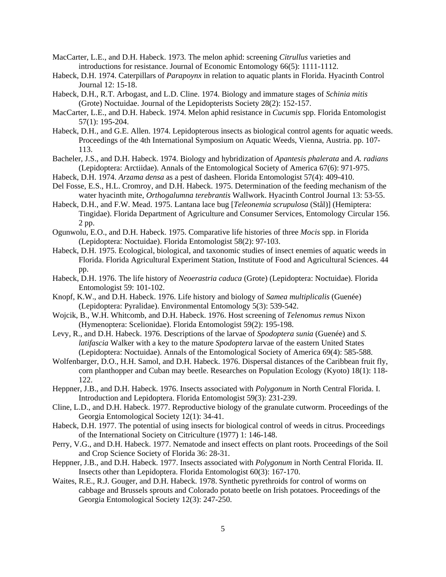- MacCarter, L.E., and D.H. Habeck. 1973. The melon aphid: screening *Citrullus* varieties and introductions for resistance. Journal of Economic Entomology 66(5): 1111-1112.
- Habeck, D.H. 1974. Caterpillars of *Parapoynx* in relation to aquatic plants in Florida. Hyacinth Control Journal 12: 15-18.
- Habeck, D.H., R.T. Arbogast, and L.D. Cline. 1974. Biology and immature stages of *Schinia mitis* (Grote) Noctuidae. Journal of the Lepidopterists Society 28(2): 152-157.
- MacCarter, L.E., and D.H. Habeck. 1974. Melon aphid resistance in *Cucumis* spp. Florida Entomologist 57(1): 195-204.
- Habeck, D.H., and G.E. Allen. 1974. Lepidopterous insects as biological control agents for aquatic weeds. Proceedings of the 4th International Symposium on Aquatic Weeds, Vienna, Austria. pp. 107- 113.
- Bacheler, J.S., and D.H. Habeck. 1974. Biology and hybridization of *Apantesis phalerata* and *A. radians* (Lepidoptera: Arctiidae). Annals of the Entomological Society of America 67(6): 971-975.
- Habeck, D.H. 1974. *Arzama densa* as a pest of dasheen. Florida Entomologist 57(4): 409-410.
- Del Fosse, E.S., H.L. Cromroy, and D.H. Habeck. 1975. Determination of the feeding mechanism of the water hyacinth mite, *Orthogalumna terebrantis* Wallwork. Hyacinth Control Journal 13: 53-55.
- Habeck, D.H., and F.W. Mead. 1975. Lantana lace bug [*Teleonemia scrupulosa* (Stål)] (Hemiptera: Tingidae). Florida Department of Agriculture and Consumer Services, Entomology Circular 156. 2 pp.
- Ogunwolu, E.O., and D.H. Habeck. 1975. Comparative life histories of three *Mocis* spp. in Florida (Lepidoptera: Noctuidae). Florida Entomologist 58(2): 97-103.
- Habeck, D.H. 1975. Ecological, biological, and taxonomic studies of insect enemies of aquatic weeds in Florida. Florida Agricultural Experiment Station, Institute of Food and Agricultural Sciences. 44 pp.
- Habeck, D.H. 1976. The life history of *Neoerastria caduca* (Grote) (Lepidoptera: Noctuidae). Florida Entomologist 59: 101-102.
- Knopf, K.W., and D.H. Habeck. 1976. Life history and biology of *Samea multiplicalis* (Guenée) (Lepidoptera: Pyralidae). Environmental Entomology 5(3): 539-542.
- Wojcik, B., W.H. Whitcomb, and D.H. Habeck. 1976. Host screening of *Telenomus remus* Nixon (Hymenoptera: Scelionidae). Florida Entomologist 59(2): 195-198.
- Levy, R., and D.H. Habeck. 1976. Descriptions of the larvae of *Spodoptera sunia* (Guenée) and *S. latifascia* Walker with a key to the mature *Spodoptera* larvae of the eastern United States (Lepidoptera: Noctuidae). Annals of the Entomological Society of America 69(4): 585-588.
- Wolfenbarger, D.O., H.H. Samol, and D.H. Habeck. 1976. Dispersal distances of the Caribbean fruit fly, corn planthopper and Cuban may beetle. Researches on Population Ecology (Kyoto) 18(1): 118- 122.
- Heppner, J.B., and D.H. Habeck. 1976. Insects associated with *Polygonum* in North Central Florida. I. Introduction and Lepidoptera. Florida Entomologist 59(3): 231-239.
- Cline, L.D., and D.H. Habeck. 1977. Reproductive biology of the granulate cutworm. Proceedings of the Georgia Entomological Society 12(1): 34-41.
- Habeck, D.H. 1977. The potential of using insects for biological control of weeds in citrus. Proceedings of the International Society on Citriculture (1977) 1: 146-148.
- Perry, V.G., and D.H. Habeck. 1977. Nematode and insect effects on plant roots. Proceedings of the Soil and Crop Science Society of Florida 36: 28-31.
- Heppner, J.B., and D.H. Habeck. 1977. Insects associated with *Polygonum* in North Central Florida. II. Insects other than Lepidoptera. Florida Entomologist 60(3): 167-170.
- Waites, R.E., R.J. Gouger, and D.H. Habeck. 1978. Synthetic pyrethroids for control of worms on cabbage and Brussels sprouts and Colorado potato beetle on Irish potatoes. Proceedings of the Georgia Entomological Society 12(3): 247-250.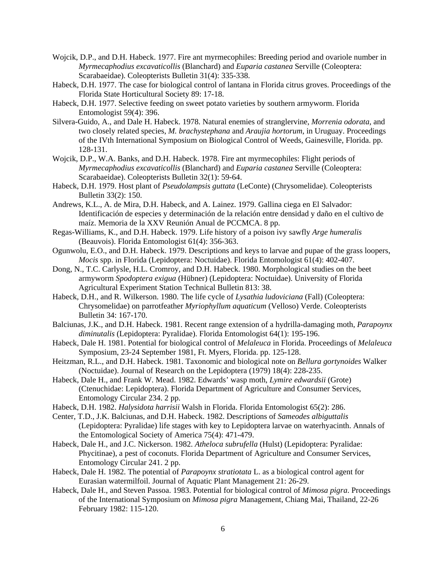- Wojcik, D.P., and D.H. Habeck. 1977. Fire ant myrmecophiles: Breeding period and ovariole number in *Myrmecaphodius excavaticollis* (Blanchard) and *Euparia castanea* Serville (Coleoptera: Scarabaeidae). Coleopterists Bulletin 31(4): 335-338.
- Habeck, D.H. 1977. The case for biological control of lantana in Florida citrus groves. Proceedings of the Florida State Horticultural Society 89: 17-18.
- Habeck, D.H. 1977. Selective feeding on sweet potato varieties by southern armyworm. Florida Entomologist 59(4): 396.
- Silvera-Guido, A., and Dale H. Habeck. 1978. Natural enemies of stranglervine, *Morrenia odorata*, and two closely related species, *M. brachystephana* and *Araujia hortorum*, in Uruguay. Proceedings of the IVth International Symposium on Biological Control of Weeds, Gainesville, Florida. pp. 128-131.
- Wojcik, D.P., W.A. Banks, and D.H. Habeck. 1978. Fire ant myrmecophiles: Flight periods of *Myrmecaphodius excavaticollis* (Blanchard) and *Euparia castanea* Serville (Coleoptera: Scarabaeidae). Coleopterists Bulletin 32(1): 59-64.
- Habeck, D.H. 1979. Host plant of *Pseudolampsis guttata* (LeConte) (Chrysomelidae). Coleopterists Bulletin 33(2): 150.
- Andrews, K.L., A. de Mira, D.H. Habeck, and A. Lainez. 1979. Gallina ciega en El Salvador: Identificación de especies y determinación de la relación entre densidad y daño en el cultivo de maíz. Memoria de la XXV Reunión Anual de PCCMCA. 8 pp.
- Regas-Williams, K., and D.H. Habeck. 1979. Life history of a poison ivy sawfly *Arge humeralis* (Beauvois). Florida Entomologist 61(4): 356-363.
- Ogunwolu, E.O., and D.H. Habeck. 1979. Descriptions and keys to larvae and pupae of the grass loopers, *Mocis* spp. in Florida (Lepidoptera: Noctuidae). Florida Entomologist 61(4): 402-407.
- Dong, N., T.C. Carlysle, H.L. Cromroy, and D.H. Habeck. 1980. Morphological studies on the beet armyworm *Spodoptera exigua* (Hübner) (Lepidoptera: Noctuidae). University of Florida Agricultural Experiment Station Technical Bulletin 813: 38.
- Habeck, D.H., and R. Wilkerson. 1980. The life cycle of *Lysathia ludoviciana* (Fall) (Coleoptera: Chrysomelidae) on parrotfeather *Myriophyllum aquaticum* (Velloso) Verde. Coleopterists Bulletin 34: 167-170.
- Balciunas, J.K., and D.H. Habeck. 1981. Recent range extension of a hydrilla-damaging moth, *Parapoynx diminutalis* (Lepidoptera: Pyralidae). Florida Entomologist 64(1): 195-196.
- Habeck, Dale H. 1981. Potential for biological control of *Melaleuca* in Florida. Proceedings of *Melaleuca* Symposium, 23-24 September 1981, Ft. Myers, Florida. pp. 125-128.
- Heitzman, R.L., and D.H. Habeck. 1981. Taxonomic and biological note on *Bellura gortynoides* Walker (Noctuidae). Journal of Research on the Lepidoptera (1979) 18(4): 228-235.
- Habeck, Dale H., and Frank W. Mead. 1982. Edwards' wasp moth, *Lymire edwardsii* (Grote) (Ctenuchidae: Lepidoptera). Florida Department of Agriculture and Consumer Services, Entomology Circular 234. 2 pp.
- Habeck, D.H. 1982. *Halysidota harrisii* Walsh in Florida. Florida Entomologist 65(2): 286.
- Center, T.D., J.K. Balciunas, and D.H. Habeck. 1982. Descriptions of *Sameodes albiguttalis* (Lepidoptera: Pyralidae) life stages with key to Lepidoptera larvae on waterhyacinth. Annals of the Entomological Society of America 75(4): 471-479.
- Habeck, Dale H., and J.C. Nickerson. 1982. *Atheloca subrufella* (Hulst) (Lepidoptera: Pyralidae: Phycitinae), a pest of coconuts. Florida Department of Agriculture and Consumer Services, Entomology Circular 241. 2 pp.
- Habeck, Dale H. 1982. The potential of *Parapoynx stratiotata* L. as a biological control agent for Eurasian watermilfoil. Journal of Aquatic Plant Management 21: 26-29.
- Habeck, Dale H., and Steven Passoa. 1983. Potential for biological control of *Mimosa pigra*. Proceedings of the International Symposium on *Mimosa pigra* Management, Chiang Mai, Thailand, 22-26 February 1982: 115-120.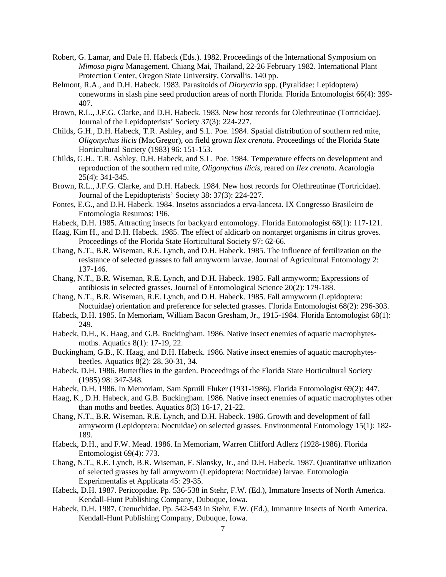- Robert, G. Lamar, and Dale H. Habeck (Eds.). 1982. Proceedings of the International Symposium on *Mimosa pigra* Management. Chiang Mai, Thailand, 22-26 February 1982. International Plant Protection Center, Oregon State University, Corvallis. 140 pp.
- Belmont, R.A., and D.H. Habeck. 1983. Parasitoids of *Dioryctria* spp. (Pyralidae: Lepidoptera) coneworms in slash pine seed production areas of north Florida. Florida Entomologist 66(4): 399- 407.
- Brown, R.L., J.F.G. Clarke, and D.H. Habeck. 1983. New host records for Olethreutinae (Tortricidae). Journal of the Lepidopterists' Society 37(3): 224-227.
- Childs, G.H., D.H. Habeck, T.R. Ashley, and S.L. Poe. 1984. Spatial distribution of southern red mite, *Oligonychus ilicis* (MacGregor), on field grown *Ilex crenata*. Proceedings of the Florida State Horticultural Society (1983) 96: 151-153.
- Childs, G.H., T.R. Ashley, D.H. Habeck, and S.L. Poe. 1984. Temperature effects on development and reproduction of the southern red mite, *Oligonychus ilicis*, reared on *Ilex crenata*. Acarologia 25(4): 341-345.
- Brown, R.L., J.F.G. Clarke, and D.H. Habeck. 1984. New host records for Olethreutinae (Tortricidae). Journal of the Lepidopterists' Society 38: 37(3): 224-227.
- Fontes, E.G., and D.H. Habeck. 1984. Insetos associados a erva-lanceta. IX Congresso Brasileiro de Entomologia Resumos: 196.
- Habeck, D.H. 1985. Attracting insects for backyard entomology. Florida Entomologist 68(1): 117-121.
- Haag, Kim H., and D.H. Habeck. 1985. The effect of aldicarb on nontarget organisms in citrus groves. Proceedings of the Florida State Horticultural Society 97: 62-66.
- Chang, N.T., B.R. Wiseman, R.E. Lynch, and D.H. Habeck. 1985. The influence of fertilization on the resistance of selected grasses to fall armyworm larvae. Journal of Agricultural Entomology 2: 137-146.
- Chang, N.T., B.R. Wiseman, R.E. Lynch, and D.H. Habeck. 1985. Fall armyworm; Expressions of antibiosis in selected grasses. Journal of Entomological Science 20(2): 179-188.
- Chang, N.T., B.R. Wiseman, R.E. Lynch, and D.H. Habeck. 1985. Fall armyworm (Lepidoptera: Noctuidae) orientation and preference for selected grasses. Florida Entomologist 68(2): 296-303.
- Habeck, D.H. 1985. In Memoriam, William Bacon Gresham, Jr., 1915-1984. Florida Entomologist 68(1): 249.
- Habeck, D.H., K. Haag, and G.B. Buckingham. 1986. Native insect enemies of aquatic macrophytesmoths. Aquatics 8(1): 17-19, 22.
- Buckingham, G.B., K. Haag, and D.H. Habeck. 1986. Native insect enemies of aquatic macrophytesbeetles. Aquatics 8(2): 28, 30-31, 34.
- Habeck, D.H. 1986. Butterflies in the garden. Proceedings of the Florida State Horticultural Society (1985) 98: 347-348.
- Habeck, D.H. 1986. In Memoriam, Sam Spruill Fluker (1931-1986). Florida Entomologist 69(2): 447.
- Haag, K., D.H. Habeck, and G.B. Buckingham. 1986. Native insect enemies of aquatic macrophytes other than moths and beetles. Aquatics 8(3) 16-17, 21-22.
- Chang, N.T., B.R. Wiseman, R.E. Lynch, and D.H. Habeck. 1986. Growth and development of fall armyworm (Lepidoptera: Noctuidae) on selected grasses. Environmental Entomology 15(1): 182- 189.
- Habeck, D.H., and F.W. Mead. 1986. In Memoriam, Warren Clifford Adlerz (1928-1986). Florida Entomologist 69(4): 773.
- Chang, N.T., R.E. Lynch, B.R. Wiseman, F. Slansky, Jr., and D.H. Habeck. 1987. Quantitative utilization of selected grasses by fall armyworm (Lepidoptera: Noctuidae) larvae. Entomologia Experimentalis et Applicata 45: 29-35.
- Habeck, D.H. 1987. Pericopidae. Pp. 536-538 in Stehr, F.W. (Ed.), Immature Insects of North America. Kendall-Hunt Publishing Company, Dubuque, Iowa.
- Habeck, D.H. 1987. Ctenuchidae. Pp. 542-543 in Stehr, F.W. (Ed.), Immature Insects of North America. Kendall-Hunt Publishing Company, Dubuque, Iowa.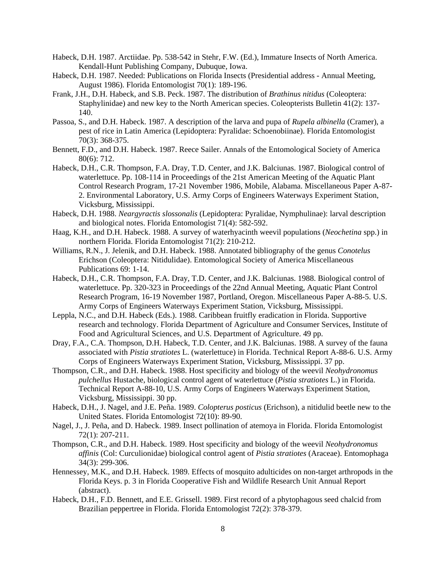- Habeck, D.H. 1987. Arctiidae. Pp. 538-542 in Stehr, F.W. (Ed.), Immature Insects of North America. Kendall-Hunt Publishing Company, Dubuque, Iowa.
- Habeck, D.H. 1987. Needed: Publications on Florida Insects (Presidential address Annual Meeting, August 1986). Florida Entomologist 70(1): 189-196.
- Frank, J.H., D.H. Habeck, and S.B. Peck. 1987. The distribution of *Brathinus nitidus* (Coleoptera: Staphylinidae) and new key to the North American species. Coleopterists Bulletin 41(2): 137- 140.
- Passoa, S., and D.H. Habeck. 1987. A description of the larva and pupa of *Rupela albinella* (Cramer), a pest of rice in Latin America (Lepidoptera: Pyralidae: Schoenobiinae). Florida Entomologist 70(3): 368-375.
- Bennett, F.D., and D.H. Habeck. 1987. Reece Sailer. Annals of the Entomological Society of America 80(6): 712.
- Habeck, D.H., C.R. Thompson, F.A. Dray, T.D. Center, and J.K. Balciunas. 1987. Biological control of waterlettuce. Pp. 108-114 in Proceedings of the 21st American Meeting of the Aquatic Plant Control Research Program, 17-21 November 1986, Mobile, Alabama. Miscellaneous Paper A-87- 2. Environmental Laboratory, U.S. Army Corps of Engineers Waterways Experiment Station, Vicksburg, Mississippi.
- Habeck, D.H. 1988. *Neargyractis slossonalis* (Lepidoptera: Pyralidae, Nymphulinae): larval description and biological notes. Florida Entomologist 71(4): 582-592.
- Haag, K.H., and D.H. Habeck. 1988. A survey of waterhyacinth weevil populations (*Neochetina* spp.) in northern Florida. Florida Entomologist 71(2): 210-212.
- Williams, R.N., J. Jelenik, and D.H. Habeck. 1988. Annotated bibliography of the genus *Conotelus* Erichson (Coleoptera: Nitidulidae). Entomological Society of America Miscellaneous Publications 69: 1-14.
- Habeck, D.H., C.R. Thompson, F.A. Dray, T.D. Center, and J.K. Balciunas. 1988. Biological control of waterlettuce. Pp. 320-323 in Proceedings of the 22nd Annual Meeting, Aquatic Plant Control Research Program, 16-19 November 1987, Portland, Oregon. Miscellaneous Paper A-88-5. U.S. Army Corps of Engineers Waterways Experiment Station, Vicksburg, Mississippi.
- Leppla, N.C., and D.H. Habeck (Eds.). 1988. Caribbean fruitfly eradication in Florida. Supportive research and technology. Florida Department of Agriculture and Consumer Services, Institute of Food and Agricultural Sciences, and U.S. Department of Agriculture. 49 pp.
- Dray, F.A., C.A. Thompson, D.H. Habeck, T.D. Center, and J.K. Balciunas. 1988. A survey of the fauna associated with *Pistia stratiotes* L. (waterlettuce) in Florida. Technical Report A-88-6. U.S. Army Corps of Engineers Waterways Experiment Station, Vicksburg, Mississippi. 37 pp.
- Thompson, C.R., and D.H. Habeck. 1988. Host specificity and biology of the weevil *Neohydronomus pulchellus* Hustache, biological control agent of waterlettuce (*Pistia stratiotes* L.) in Florida. Technical Report A-88-10, U.S. Army Corps of Engineers Waterways Experiment Station, Vicksburg, Mississippi. 30 pp.
- Habeck, D.H., J. Nagel, and J.E. Peña. 1989. *Colopterus posticus* (Erichson), a nitidulid beetle new to the United States. Florida Entomologist 72(10): 89-90.
- Nagel, J., J. Peña, and D. Habeck. 1989. Insect pollination of atemoya in Florida. Florida Entomologist 72(1): 207-211.
- Thompson, C.R., and D.H. Habeck. 1989. Host specificity and biology of the weevil *Neohydronomus affinis* (Col: Curculionidae) biological control agent of *Pistia stratiotes* (Araceae). Entomophaga 34(3): 299-306.
- Hennessey, M.K., and D.H. Habeck. 1989. Effects of mosquito adulticides on non-target arthropods in the Florida Keys. p. 3 in Florida Cooperative Fish and Wildlife Research Unit Annual Report (abstract).
- Habeck, D.H., F.D. Bennett, and E.E. Grissell. 1989. First record of a phytophagous seed chalcid from Brazilian peppertree in Florida. Florida Entomologist 72(2): 378-379.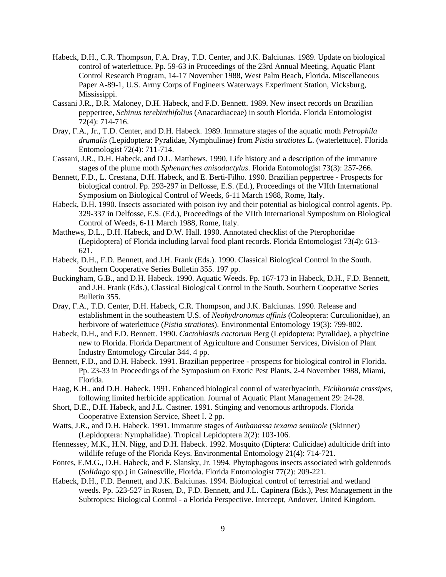- Habeck, D.H., C.R. Thompson, F.A. Dray, T.D. Center, and J.K. Balciunas. 1989. Update on biological control of waterlettuce. Pp. 59-63 in Proceedings of the 23rd Annual Meeting, Aquatic Plant Control Research Program, 14-17 November 1988, West Palm Beach, Florida. Miscellaneous Paper A-89-1, U.S. Army Corps of Engineers Waterways Experiment Station, Vicksburg, Mississippi.
- Cassani J.R., D.R. Maloney, D.H. Habeck, and F.D. Bennett. 1989. New insect records on Brazilian peppertree, *Schinus terebinthifolius* (Anacardiaceae) in south Florida. Florida Entomologist 72(4): 714-716.
- Dray, F.A., Jr., T.D. Center, and D.H. Habeck. 1989. Immature stages of the aquatic moth *Petrophila drumalis* (Lepidoptera: Pyralidae, Nymphulinae) from *Pistia stratiotes* L. (waterlettuce). Florida Entomologist 72(4): 711-714.
- Cassani, J.R., D.H. Habeck, and D.L. Matthews. 1990. Life history and a description of the immature stages of the plume moth *Sphenarches anisodactylus*. Florida Entomologist 73(3): 257-266.
- Bennett, F.D., L. Crestana, D.H. Habeck, and E. Berti-Filho. 1990. Brazilian peppertree Prospects for biological control. Pp. 293-297 in Delfosse, E.S. (Ed.), Proceedings of the VIIth International Symposium on Biological Control of Weeds, 6-11 March 1988, Rome, Italy.
- Habeck, D.H. 1990. Insects associated with poison ivy and their potential as biological control agents. Pp. 329-337 in Delfosse, E.S. (Ed.), Proceedings of the VIIth International Symposium on Biological Control of Weeds, 6-11 March 1988, Rome, Italy.
- Matthews, D.L., D.H. Habeck, and D.W. Hall. 1990. Annotated checklist of the Pterophoridae (Lepidoptera) of Florida including larval food plant records. Florida Entomologist 73(4): 613- 621.
- Habeck, D.H., F.D. Bennett, and J.H. Frank (Eds.). 1990. Classical Biological Control in the South. Southern Cooperative Series Bulletin 355. 197 pp.
- Buckingham, G.B., and D.H. Habeck. 1990. Aquatic Weeds. Pp. 167-173 in Habeck, D.H., F.D. Bennett, and J.H. Frank (Eds.), Classical Biological Control in the South. Southern Cooperative Series Bulletin 355.
- Dray, F.A., T.D. Center, D.H. Habeck, C.R. Thompson, and J.K. Balciunas. 1990. Release and establishment in the southeastern U.S. of *Neohydronomus affinis* (Coleoptera: Curculionidae), an herbivore of waterlettuce (*Pistia stratiotes*). Environmental Entomology 19(3): 799-802.
- Habeck, D.H., and F.D. Bennett. 1990. *Cactoblastis cactorum* Berg (Lepidoptera: Pyralidae), a phycitine new to Florida. Florida Department of Agriculture and Consumer Services, Division of Plant Industry Entomology Circular 344. 4 pp.
- Bennett, F.D., and D.H. Habeck. 1991. Brazilian peppertree prospects for biological control in Florida. Pp. 23-33 in Proceedings of the Symposium on Exotic Pest Plants, 2-4 November 1988, Miami, Florida.
- Haag, K.H., and D.H. Habeck. 1991. Enhanced biological control of waterhyacinth, *Eichhornia crassipes*, following limited herbicide application. Journal of Aquatic Plant Management 29: 24-28.
- Short, D.E., D.H. Habeck, and J.L. Castner. 1991. Stinging and venomous arthropods. Florida Cooperative Extension Service, Sheet I. 2 pp.
- Watts, J.R., and D.H. Habeck. 1991. Immature stages of *Anthanassa texama seminole* (Skinner) (Lepidoptera: Nymphalidae). Tropical Lepidoptera 2(2): 103-106.
- Hennessey, M.K., H.N. Nigg, and D.H. Habeck. 1992. Mosquito (Diptera: Culicidae) adulticide drift into wildlife refuge of the Florida Keys. Environmental Entomology 21(4): 714-721.
- Fontes, E.M.G., D.H. Habeck, and F. Slansky, Jr. 1994. Phytophagous insects associated with goldenrods (*Solidago* spp.) in Gainesville, Florida. Florida Entomologist 77(2): 209-221.
- Habeck, D.H., F.D. Bennett, and J.K. Balciunas. 1994. Biological control of terrestrial and wetland weeds. Pp. 523-527 in Rosen, D., F.D. Bennett, and J.L. Capinera (Eds.), Pest Management in the Subtropics: Biological Control - a Florida Perspective. Intercept, Andover, United Kingdom.